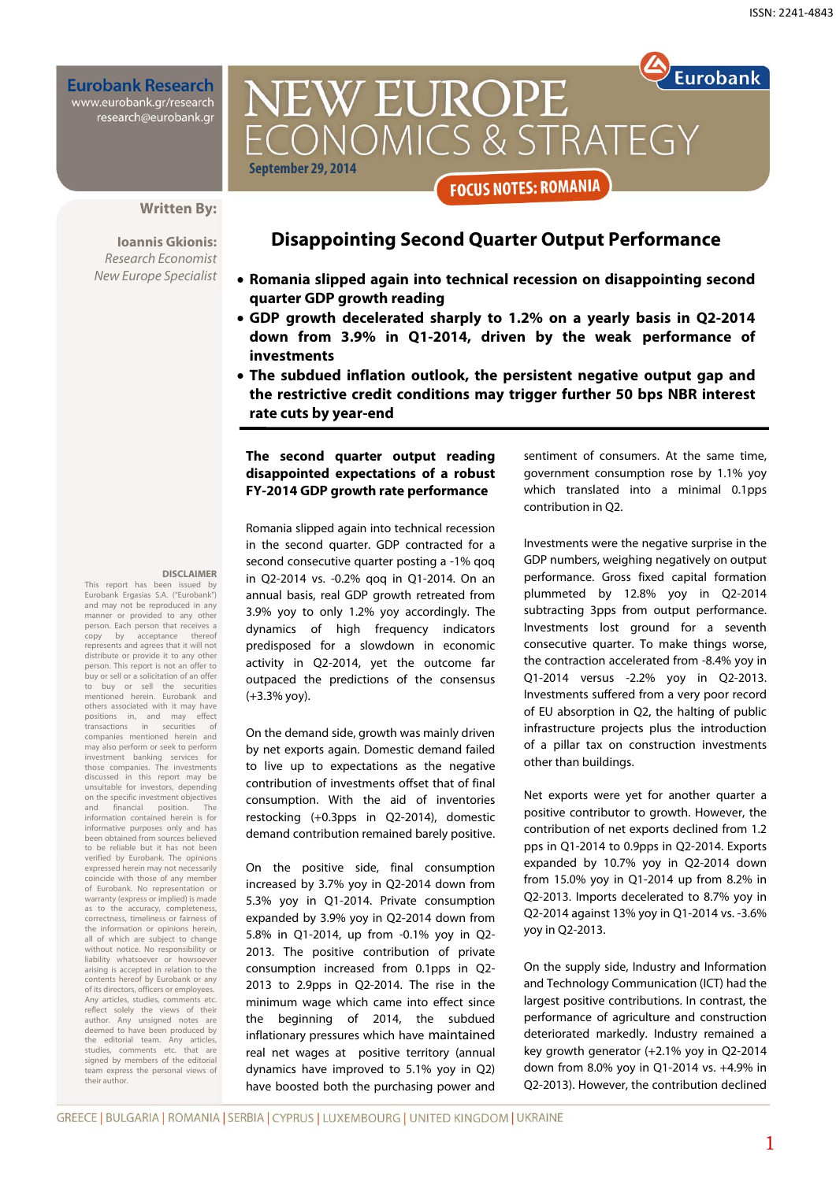**Eurobank Research** www.eurobank.gr/research<br>research@eurobank.gr

## Eurobank NEW EUROPE ONOMICS & STRATEGY in the state of the state of the September of the September of the September of the September of the September **September 29, 2014 FOCUS NOTES: ROMANIA**

#### **Written By:**

**Ioannis Gkionis:**  Research Economist New Europe Specialist

## **Disappointing Second Quarter Output Performance**

- **Romania slipped again into technical recession on disappointing second quarter GDP growth reading**
- **GDP growth decelerated sharply to 1.2% on a yearly basis in Q2-2014 down from 3.9% in Q1-2014, driven by the weak performance of investments**
- **The subdued inflation outlook, the persistent negative output gap and the restrictive credit conditions may trigger further 50 bps NBR interest rate cuts by year-end**

#### **The second quarter output reading disappointed expectations of a robust FY-2014 GDP growth rate performance**

**DISCLAIMER** 

This report has been issued by Eurobank Ergasias S.A. ("Eurobank") and may not be reproduced in any manner or provided to any other person. Each person that receives a<br>copy by acceptance thereof acceptance represents and agrees that it will not distribute or provide it to any other person. This report is not an offer to buy or sell or a solicitation of an offer to buy or sell the securities mentioned herein. Eurobank and others associated with it may have<br>positions in, and may effect positions in, and may effect<br>transactions in securities of transactions in securities of companies mentioned herein and may also perform or seek to perform investment banking services for those companies. The investments discussed in this report may be unsuitable for investors, depending on the specific investment objectives and financial position. The information contained herein is for informative purposes only and has been obtained from sources believed to be reliable but it has not been verified by Eurobank. The opinions expressed herein may not necessarily coincide with those of any member of Eurobank. No representation or warranty (express or implied) is made as to the accuracy, completeness, correctness, timeliness or fairness of the information or opinions herein, all of which are subject to change without notice. No responsibility or liability whatsoever or howsoever arising is accepted in relation to the contents hereof by Eurobank or any of its directors, officers or employees. Any articles, studies, comments reflect solely the views of their author. Any unsigned notes are deemed to have been produced by the editorial team. Any articles, studies, comments etc. that are signed by members of the editorial team express the personal views of their author.

Romania slipped again into technical recession in the second quarter. GDP contracted for a second consecutive quarter posting a -1% qoq in Q2-2014 vs. -0.2% qoq in Q1-2014. On an annual basis, real GDP growth retreated from 3.9% yoy to only 1.2% yoy accordingly. The dynamics of high frequency indicators predisposed for a slowdown in economic activity in Q2-2014, yet the outcome far outpaced the predictions of the consensus (+3.3% yoy).

On the demand side, growth was mainly driven by net exports again. Domestic demand failed to live up to expectations as the negative contribution of investments offset that of final consumption. With the aid of inventories restocking (+0.3pps in Q2-2014), domestic demand contribution remained barely positive.

On the positive side, final consumption increased by 3.7% yoy in Q2-2014 down from 5.3% yoy in Q1-2014. Private consumption expanded by 3.9% yoy in Q2-2014 down from 5.8% in Q1-2014, up from -0.1% yoy in Q2- 2013. The positive contribution of private consumption increased from 0.1pps in Q2- 2013 to 2.9pps in Q2-2014. The rise in the minimum wage which came into effect since the beginning of 2014, the subdued inflationary pressures which have maintained real net wages at positive territory (annual dynamics have improved to 5.1% yoy in Q2) have boosted both the purchasing power and sentiment of consumers. At the same time, government consumption rose by 1.1% yoy which translated into a minimal 0.1pps contribution in Q2.

Investments were the negative surprise in the GDP numbers, weighing negatively on output performance. Gross fixed capital formation plummeted by 12.8% yoy in Q2-2014 subtracting 3pps from output performance. Investments lost ground for a seventh consecutive quarter. To make things worse, the contraction accelerated from -8.4% yoy in Q1-2014 versus -2.2% yoy in Q2-2013. Investments suffered from a very poor record of EU absorption in Q2, the halting of public infrastructure projects plus the introduction of a pillar tax on construction investments other than buildings.

Net exports were yet for another quarter a positive contributor to growth. However, the contribution of net exports declined from 1.2 pps in Q1-2014 to 0.9pps in Q2-2014. Exports expanded by 10.7% yoy in Q2-2014 down from 15.0% yoy in Q1-2014 up from 8.2% in Q2-2013. Imports decelerated to 8.7% yoy in Q2-2014 against 13% yoy in Q1-2014 vs. -3.6% yoy in Q2-2013.

On the supply side, Industry and Information and Technology Communication (ICT) had the largest positive contributions. In contrast, the performance of agriculture and construction deteriorated markedly. Industry remained a key growth generator (+2.1% yoy in Q2-2014 down from 8.0% yoy in Q1-2014 vs. +4.9% in Q2-2013). However, the contribution declined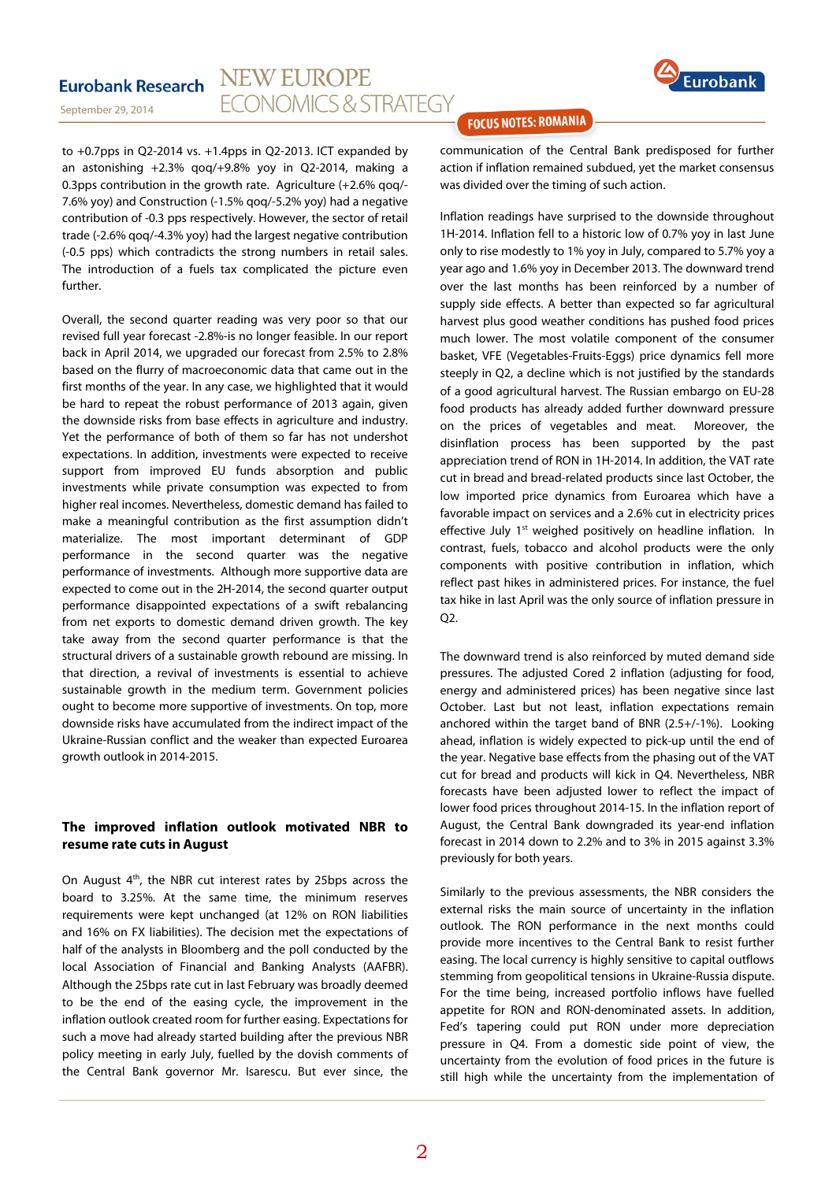September 29, 2014



 an astonishing +2.3% qoq/+9.8% yoy in Q2-2014, making a to +0.7pps in Q2-2014 vs. +1.4pps in Q2-2013. ICT expanded by 0.3pps contribution in the growth rate. Agriculture (+2.6% qoq/- 7.6% yoy) and Construction (-1.5% qoq/-5.2% yoy) had a negative contribution of -0.3 pps respectively. However, the sector of retail trade (-2.6% qoq/-4.3% yoy) had the largest negative contribution (-0.5 pps) which contradicts the strong numbers in retail sales. The introduction of a fuels tax complicated the picture even further.

Overall, the second quarter reading was very poor so that our revised full year forecast -2.8%-is no longer feasible. In our report back in April 2014, we upgraded our forecast from 2.5% to 2.8% based on the flurry of macroeconomic data that came out in the first months of the year. In any case, we highlighted that it would be hard to repeat the robust performance of 2013 again, given the downside risks from base effects in agriculture and industry. Yet the performance of both of them so far has not undershot expectations. In addition, investments were expected to receive support from improved EU funds absorption and public investments while private consumption was expected to from higher real incomes. Nevertheless, domestic demand has failed to make a meaningful contribution as the first assumption didn't materialize. The most important determinant of GDP performance in the second quarter was the negative performance of investments. Although more supportive data are expected to come out in the 2H-2014, the second quarter output performance disappointed expectations of a swift rebalancing from net exports to domestic demand driven growth. The key take away from the second quarter performance is that the structural drivers of a sustainable growth rebound are missing. In that direction, a revival of investments is essential to achieve sustainable growth in the medium term. Government policies ought to become more supportive of investments. On top, more downside risks have accumulated from the indirect impact of the Ukraine-Russian conflict and the weaker than expected Euroarea growth outlook in 2014-2015.

#### **The improved inflation outlook motivated NBR to resume rate cuts in August**

On August 4th, the NBR cut interest rates by 25bps across the board to 3.25%. At the same time, the minimum reserves requirements were kept unchanged (at 12% on RON liabilities and 16% on FX liabilities). The decision met the expectations of half of the analysts in Bloomberg and the poll conducted by the local Association of Financial and Banking Analysts (AAFBR). Although the 25bps rate cut in last February was broadly deemed to be the end of the easing cycle, the improvement in the inflation outlook created room for further easing. Expectations for such a move had already started building after the previous NBR policy meeting in early July, fuelled by the dovish comments of the Central Bank governor Mr. Isarescu. But ever since, the

### **FOCUS NOTES: ROMANIA**

communication of the Central Bank predisposed for further action if inflation remained subdued, yet the market consensus was divided over the timing of such action.

Inflation readings have surprised to the downside throughout 1H-2014. Inflation fell to a historic low of 0.7% yoy in last June only to rise modestly to 1% yoy in July, compared to 5.7% yoy a year ago and 1.6% yoy in December 2013. The downward trend over the last months has been reinforced by a number of supply side effects. A better than expected so far agricultural harvest plus good weather conditions has pushed food prices much lower. The most volatile component of the consumer basket, VFE (Vegetables-Fruits-Eggs) price dynamics fell more steeply in Q2, a decline which is not justified by the standards of a good agricultural harvest. The Russian embargo on EU-28 food products has already added further downward pressure on the prices of vegetables and meat. Moreover, the disinflation process has been supported by the past appreciation trend of RON in 1H-2014. In addition, the VAT rate cut in bread and bread-related products since last October, the low imported price dynamics from Euroarea which have a favorable impact on services and a 2.6% cut in electricity prices effective July 1<sup>st</sup> weighed positively on headline inflation. In contrast, fuels, tobacco and alcohol products were the only components with positive contribution in inflation, which reflect past hikes in administered prices. For instance, the fuel tax hike in last April was the only source of inflation pressure in Q2.

The downward trend is also reinforced by muted demand side pressures. The adjusted Cored 2 inflation (adjusting for food, energy and administered prices) has been negative since last October. Last but not least, inflation expectations remain anchored within the target band of BNR (2.5+/-1%). Looking ahead, inflation is widely expected to pick-up until the end of the year. Negative base effects from the phasing out of the VAT cut for bread and products will kick in Q4. Nevertheless, NBR forecasts have been adjusted lower to reflect the impact of lower food prices throughout 2014-15. In the inflation report of August, the Central Bank downgraded its year-end inflation forecast in 2014 down to 2.2% and to 3% in 2015 against 3.3% previously for both years.

Similarly to the previous assessments, the NBR considers the external risks the main source of uncertainty in the inflation outlook. The RON performance in the next months could provide more incentives to the Central Bank to resist further easing. The local currency is highly sensitive to capital outflows stemming from geopolitical tensions in Ukraine-Russia dispute. For the time being, increased portfolio inflows have fuelled appetite for RON and RON-denominated assets. In addition, Fed's tapering could put RON under more depreciation pressure in Q4. From a domestic side point of view, the uncertainty from the evolution of food prices in the future is still high while the uncertainty from the implementation of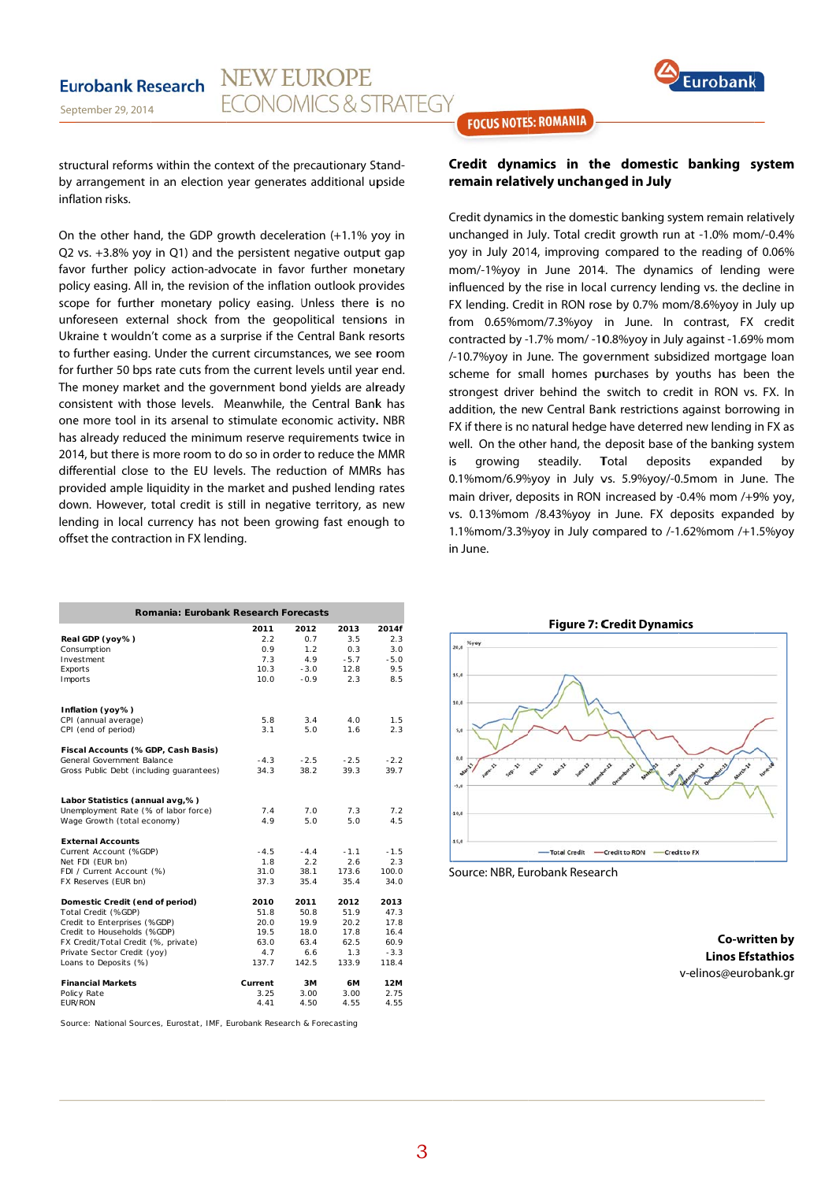

structural reforms within the context of the precautionary Standby arrangement in an election year generates additional upside inflation risks.

On the other hand, the GDP growth deceleration (+1.1% yoy in Q2 vs. +3.8% yoy in Q1) and the persistent negative output gap favor further policy action-advocate in favor further monetary policy easing. All in, the revision of the inflation outlook provides scope for further monetary policy easing. Unless there is no unforeseen external shock from the geopolitical tensions in Ukraine t wouldn't come as a surprise if the Central Bank resorts to further easing. Under the current circumstances, we see room for further 50 bps rate cuts from the current levels until year end. The money market and the government bond yields are already consistent with those levels. Meanwhile, the Central Bank has one more tool in its arsenal to stimulate economic activity. NBR has already reduced the minimum reserve requirements twice in 2014, but there is more room to do so in order to reduce the MMR differential close to the EU levels. The reduction of MMRs has provided ample liquidity in the market and pushed lending rates down. However, total credit is still in negative territory, as new lending in local currency has not been growing fast enough to offset the contraction in FX lending.

| Romania: Eurobank Research Forecasts     |         |        |        |        |
|------------------------------------------|---------|--------|--------|--------|
|                                          | 2011    | 2012   | 2013   | 2014f  |
| Real GDP (yoy%)                          | 2.2     | 0.7    | 3.5    | 2.3    |
| Consumption                              | 0.9     | 1.2    | 0.3    | 3.0    |
| Investment                               | 7.3     | 4.9    | $-5.7$ | $-5.0$ |
| Exports                                  | 10.3    | $-3.0$ | 12.8   | 9.5    |
| Imports                                  | 10.0    | $-0.9$ | 2.3    | 8.5    |
| Inflation (yoy%)                         |         |        |        |        |
| CPI (annual average)                     | 5.8     | 3.4    | 4.0    | 1.5    |
| CPI (end of period)                      | 3.1     | 5.0    | 1.6    | 2.3    |
| Fiscal Accounts (%GDP, Cash Basis)       |         |        |        |        |
| General Government Balance               | $-4.3$  | $-2.5$ | $-2.5$ | $-2.2$ |
| Gross Public Debt (including quarantees) | 34.3    | 38.2   | 39.3   | 39.7   |
| Labor Statistics (annual avg,%)          |         |        |        |        |
| Unemployment Rate (% of labor force)     | 7.4     | 7.0    | 7.3    | 7.2    |
| Wage Growth (total economy)              | 4.9     | 5.0    | 5.0    | 4.5    |
| <b>External Accounts</b>                 |         |        |        |        |
| Current Account (%GDP)                   | $-4.5$  | $-4.4$ | $-1.1$ | $-1.5$ |
| Net FDI (EUR bn)                         | 1.8     | 2.2    | 2.6    | 2.3    |
| FDI / Current Account (%)                | 31.0    | 38.1   | 173.6  | 100.0  |
| FX Reserves (EUR bn)                     | 37.3    | 35.4   | 35.4   | 34.0   |
| Domestic Credit (end of period)          | 2010    | 2011   | 2012   | 2013   |
| Total Credit (%GDP)                      | 51.8    | 50.8   | 51.9   | 47.3   |
| Credit to Enterprises (%GDP)             | 20.0    | 19.9   | 20.2   | 17.8   |
| Credit to Households (%GDP)              | 19.5    | 18.0   | 17.8   | 16.4   |
| FX Credit/Total Credit (%, private)      | 63.0    | 63.4   | 62.5   | 60.9   |
| Private Sector Credit (yoy)              | 4.7     | 6.6    | 1.3    | $-3.3$ |
| Loans to Deposits (%)                    | 137.7   | 142.5  | 133.9  | 118.4  |
| <b>Financial Markets</b>                 | Current | 3M     | 6M     | 12M    |
| Policy Rate                              | 3.25    | 3.00   | 3.00   | 2.75   |
| <b>FUR/RON</b>                           | 4.41    | 4.50   | 4.55   | 4.55   |

Source: National Sources, Eurostat, IMF, Eurobank Research & Forecasting

**FOCUS NOTES: ROMANIA** 

#### Credit dynamics in the domestic banking system remain relatively unchanged in July

Credit dynamics in the domestic banking system remain relatively unchanged in July. Total credit growth run at -1.0% mom/-0.4% yoy in July 2014, improving compared to the reading of 0.06% mom/-1%yoy in June 2014. The dynamics of lending were influenced by the rise in local currency lending vs. the decline in FX lending. Credit in RON rose by 0.7% mom/8.6%yoy in July up from 0.65%mom/7.3%yoy in June. In contrast, FX credit contracted by -1.7% mom/ -10.8%yoy in July against -1.69% mom /-10.7%yoy in June. The government subsidized mortgage loan scheme for small homes purchases by youths has been the strongest driver behind the switch to credit in RON vs. FX. In addition, the new Central Bank restrictions against borrowing in FX if there is no natural hedge have deterred new lending in FX as well. On the other hand, the deposit base of the banking system iς growing steadily. Total deposits expanded hy 0.1%mom/6.9%yoy in July vs. 5.9%yoy/-0.5mom in June. The main driver, deposits in RON increased by -0.4% mom /+9% yoy, vs. 0.13%mom /8.43%yoy in June. FX deposits expanded by 1.1%mom/3.3%vov in July compared to /-1.62%mom /+1.5%vov in lune



Source: NBR, Eurobank Research

Co-written by **Linos Efstathios** v-elinos@eurobank.gr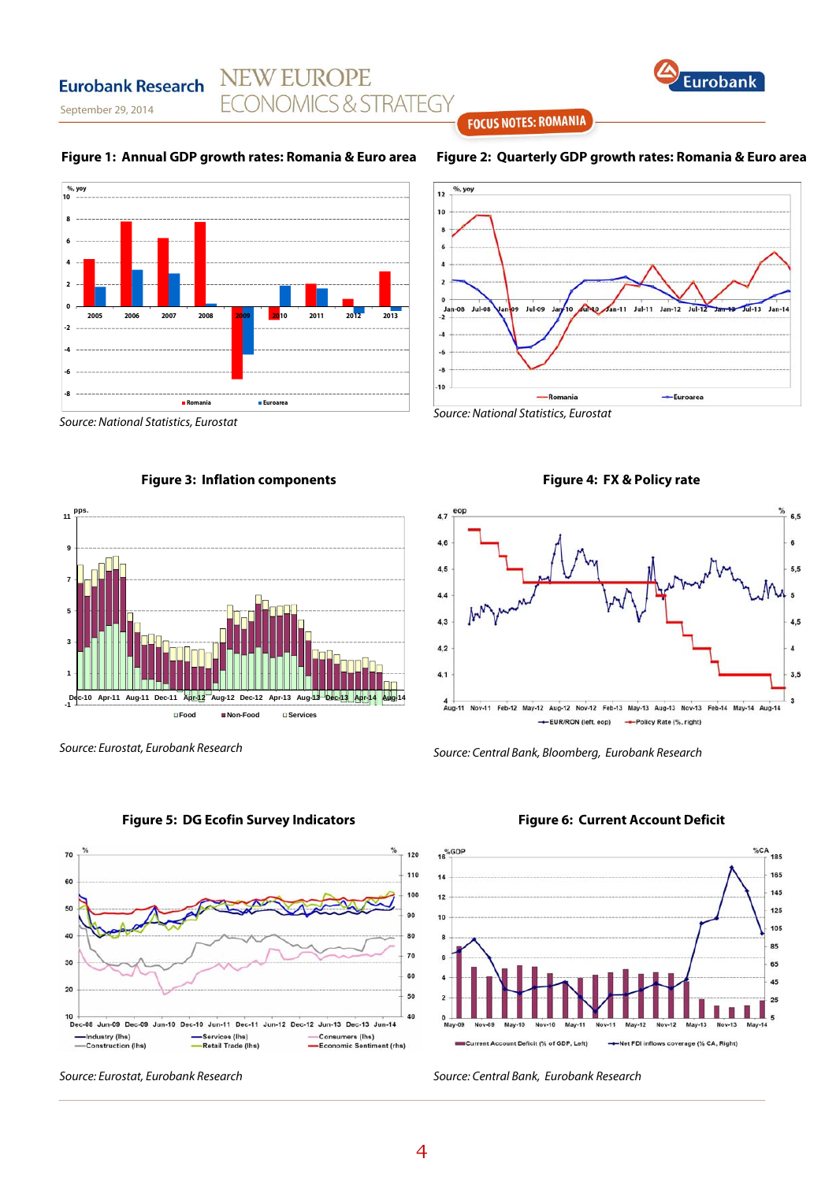# **NEW EUROPE ECONOMICS & STRATEGY**



September 29, 2014

**Eurobank Research** 

#### **Figure 1: Annual GDP growth rates: Romania & Euro area**









Source: Eurostat, Eurobank Research

**Figure 2: Quarterly GDP growth rates: Romania & Euro area**

**FOCUS NOTES: ROMANIA** 







Source: Central Bank, Bloomberg, Eurobank Research



#### **Figure 5: DG Ecofin Survey Indicators**

#### **Figure 6: Current Account Deficit**